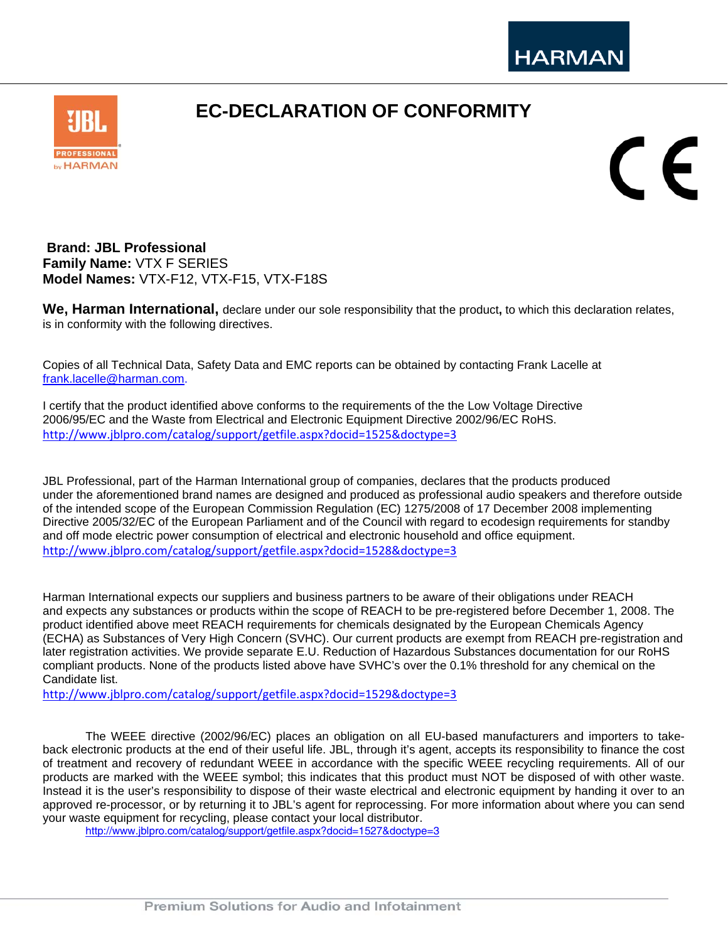## **EC-DECLARATION OF CONFORMITY**



CE

**Brand: JBL Professional Family Name:** VTX F SERIES **Model Names:** VTX-F12, VTX-F15, VTX-F18S

**We, Harman International,** declare under our sole responsibility that the product**,** to which this declaration relates, is in conformity with the following directives.

Copies of all Technical Data, Safety Data and EMC reports can be obtained by contacting Frank Lacelle at frank.lacelle@harman.com.

I certify that the product identified above conforms to the requirements of the the Low Voltage Directive 2006/95/EC and the Waste from Electrical and Electronic Equipment Directive 2002/96/EC RoHS. http://www.jblpro.com/catalog/support/getfile.aspx?docid=1525&doctype=3

JBL Professional, part of the Harman International group of companies, declares that the products produced under the aforementioned brand names are designed and produced as professional audio speakers and therefore outside of the intended scope of the European Commission Regulation (EC) 1275/2008 of 17 December 2008 implementing Directive 2005/32/EC of the European Parliament and of the Council with regard to ecodesign requirements for standby and off mode electric power consumption of electrical and electronic household and office equipment. http://www.jblpro.com/catalog/support/getfile.aspx?docid=1528&doctype=3

Harman International expects our suppliers and business partners to be aware of their obligations under REACH and expects any substances or products within the scope of REACH to be pre-registered before December 1, 2008. The product identified above meet REACH requirements for chemicals designated by the European Chemicals Agency (ECHA) as Substances of Very High Concern (SVHC). Our current products are exempt from REACH pre-registration and later registration activities. We provide separate E.U. Reduction of Hazardous Substances documentation for our RoHS compliant products. None of the products listed above have SVHC's over the 0.1% threshold for any chemical on the Candidate list.

http://www.jblpro.com/catalog/support/getfile.aspx?docid=1529&doctype=3

The WEEE directive (2002/96/EC) places an obligation on all EU-based manufacturers and importers to takeback electronic products at the end of their useful life. JBL, through it's agent, accepts its responsibility to finance the cost of treatment and recovery of redundant WEEE in accordance with the specific WEEE recycling requirements. All of our products are marked with the WEEE symbol; this indicates that this product must NOT be disposed of with other waste. Instead it is the user's responsibility to dispose of their waste electrical and electronic equipment by handing it over to an approved re-processor, or by returning it to JBL's agent for reprocessing. For more information about where you can send your waste equipment for recycling, please contact your local distributor.

http://www.jblpro.com/catalog/support/getfile.aspx?docid=1527&doctype=3